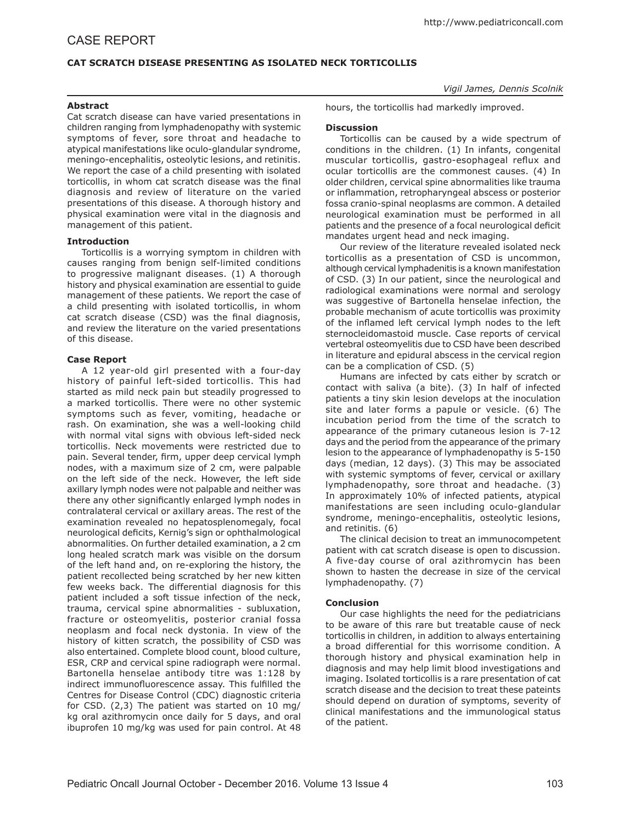# CASE REPORT

# **CAT SCRATCH DISEASE PRESENTING AS ISOLATED NECK TORTICOLLIS**

#### *Vigil James, Dennis Scolnik*

#### **Abstract**

Cat scratch disease can have varied presentations in children ranging from lymphadenopathy with systemic symptoms of fever, sore throat and headache to atypical manifestations like oculo-glandular syndrome, meningo-encephalitis, osteolytic lesions, and retinitis. We report the case of a child presenting with isolated torticollis, in whom cat scratch disease was the final diagnosis and review of literature on the varied presentations of this disease. A thorough history and physical examination were vital in the diagnosis and management of this patient.

### **Introduction**

Torticollis is a worrying symptom in children with causes ranging from benign self-limited conditions to progressive malignant diseases. (1) A thorough history and physical examination are essential to guide management of these patients. We report the case of a child presenting with isolated torticollis, in whom cat scratch disease (CSD) was the final diagnosis, and review the literature on the varied presentations of this disease.

### **Case Report**

A 12 year-old girl presented with a four-day history of painful left-sided torticollis. This had started as mild neck pain but steadily progressed to a marked torticollis. There were no other systemic symptoms such as fever, vomiting, headache or rash. On examination, she was a well-looking child with normal vital signs with obvious left-sided neck torticollis. Neck movements were restricted due to pain. Several tender, firm, upper deep cervical lymph nodes, with a maximum size of 2 cm, were palpable on the left side of the neck. However, the left side axillary lymph nodes were not palpable and neither was there any other significantly enlarged lymph nodes in contralateral cervical or axillary areas. The rest of the examination revealed no hepatosplenomegaly, focal neurological deficits, Kernig's sign or ophthalmological abnormalities. On further detailed examination, a 2 cm long healed scratch mark was visible on the dorsum of the left hand and, on re-exploring the history, the patient recollected being scratched by her new kitten few weeks back. The differential diagnosis for this patient included a soft tissue infection of the neck, trauma, cervical spine abnormalities - subluxation, fracture or osteomyelitis, posterior cranial fossa neoplasm and focal neck dystonia. In view of the history of kitten scratch, the possibility of CSD was also entertained. Complete blood count, blood culture, ESR, CRP and cervical spine radiograph were normal. Bartonella henselae antibody titre was 1:128 by indirect immunofluorescence assay. This fulfilled the Centres for Disease Control (CDC) diagnostic criteria for CSD. (2,3) The patient was started on 10 mg/ kg oral azithromycin once daily for 5 days, and oral ibuprofen 10 mg/kg was used for pain control. At 48

hours, the torticollis had markedly improved.

### **Discussion**

Torticollis can be caused by a wide spectrum of conditions in the children. (1) In infants, congenital muscular torticollis, gastro-esophageal reflux and ocular torticollis are the commonest causes. (4) In older children, cervical spine abnormalities like trauma or inflammation, retropharyngeal abscess or posterior fossa cranio-spinal neoplasms are common. A detailed neurological examination must be performed in all patients and the presence of a focal neurological deficit mandates urgent head and neck imaging.

Our review of the literature revealed isolated neck torticollis as a presentation of CSD is uncommon, although cervical lymphadenitis is a known manifestation of CSD. (3) In our patient, since the neurological and radiological examinations were normal and serology was suggestive of Bartonella henselae infection, the probable mechanism of acute torticollis was proximity of the inflamed left cervical lymph nodes to the left sternocleidomastoid muscle. Case reports of cervical vertebral osteomyelitis due to CSD have been described in literature and epidural abscess in the cervical region can be a complication of CSD. (5)

Humans are infected by cats either by scratch or contact with saliva (a bite). (3) In half of infected patients a tiny skin lesion develops at the inoculation site and later forms a papule or vesicle. (6) The incubation period from the time of the scratch to appearance of the primary cutaneous lesion is 7-12 days and the period from the appearance of the primary lesion to the appearance of lymphadenopathy is 5-150 days (median, 12 days). (3) This may be associated with systemic symptoms of fever, cervical or axillary lymphadenopathy, sore throat and headache. (3) In approximately 10% of infected patients, atypical manifestations are seen including oculo-glandular syndrome, meningo-encephalitis, osteolytic lesions, and retinitis. (6)

The clinical decision to treat an immunocompetent patient with cat scratch disease is open to discussion. A five-day course of oral azithromycin has been shown to hasten the decrease in size of the cervical lymphadenopathy. (7)

## **Conclusion**

Our case highlights the need for the pediatricians to be aware of this rare but treatable cause of neck torticollis in children, in addition to always entertaining a broad differential for this worrisome condition. A thorough history and physical examination help in diagnosis and may help limit blood investigations and imaging. Isolated torticollis is a rare presentation of cat scratch disease and the decision to treat these pateints should depend on duration of symptoms, severity of clinical manifestations and the immunological status of the patient.